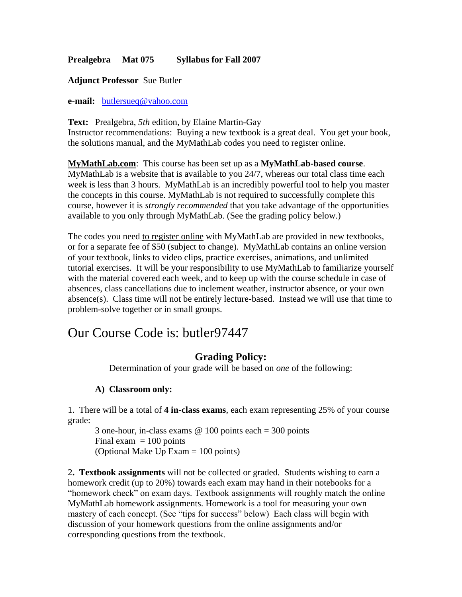## **Prealgebra Mat 075 Syllabus for Fall 2007**

#### **Adjunct Professor** Sue Butler

**e-mail:** [butlersueq@yahoo.com](mailto:butlersueq@yahoo.com)

**Text:** Prealgebra, *5th* edition, by Elaine Martin-Gay Instructor recommendations: Buying a new textbook is a great deal. You get your book, the solutions manual, and the MyMathLab codes you need to register online.

**MyMathLab.com**: This course has been set up as a **MyMathLab-based course**. MyMathLab is a website that is available to you 24/7, whereas our total class time each week is less than 3 hours. MyMathLab is an incredibly powerful tool to help you master the concepts in this course. MyMathLab is not required to successfully complete this course, however it is *strongly recommended* that you take advantage of the opportunities available to you only through MyMathLab. (See the grading policy below.)

The codes you need to register online with MyMathLab are provided in new textbooks, or for a separate fee of \$50 (subject to change). MyMathLab contains an online version of your textbook, links to video clips, practice exercises, animations, and unlimited tutorial exercises. It will be your responsibility to use MyMathLab to familiarize yourself with the material covered each week, and to keep up with the course schedule in case of absences, class cancellations due to inclement weather, instructor absence, or your own absence(s). Class time will not be entirely lecture-based. Instead we will use that time to problem-solve together or in small groups.

# Our Course Code is: butler97447

# **Grading Policy:**

Determination of your grade will be based on *one* of the following:

### **A) Classroom only:**

1. There will be a total of **4 in-class exams**, each exam representing 25% of your course grade:

3 one-hour, in-class exams @ 100 points each = 300 points Final exam  $= 100$  points (Optional Make Up Exam = 100 points)

2**. Textbook assignments** will not be collected or graded. Students wishing to earn a homework credit (up to 20%) towards each exam may hand in their notebooks for a "homework check" on exam days. Textbook assignments will roughly match the online MyMathLab homework assignments. Homework is a tool for measuring your own mastery of each concept. (See "tips for success" below) Each class will begin with discussion of your homework questions from the online assignments and/or corresponding questions from the textbook.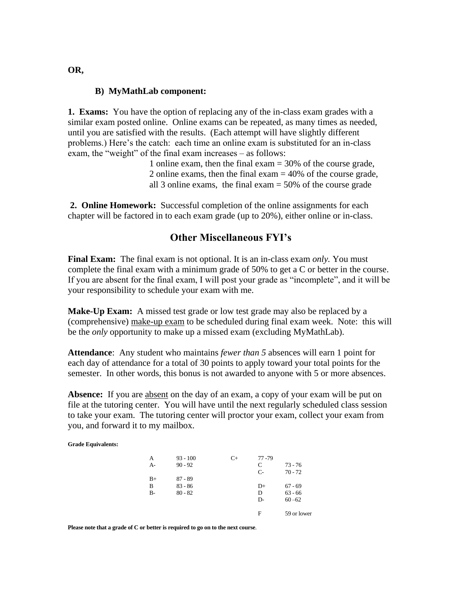#### **B) MyMathLab component:**

**1. Exams:** You have the option of replacing any of the in-class exam grades with a similar exam posted online. Online exams can be repeated, as many times as needed, until you are satisfied with the results. (Each attempt will have slightly different problems.) Here's the catch: each time an online exam is substituted for an in-class exam, the "weight" of the final exam increases – as follows:

> 1 online exam, then the final exam = 30% of the course grade, 2 online exams, then the final exam = 40% of the course grade, all 3 online exams, the final exam = 50% of the course grade

**2. Online Homework:** Successful completion of the online assignments for each chapter will be factored in to each exam grade (up to 20%), either online or in-class.

### **Other Miscellaneous FYI's**

**Final Exam:** The final exam is not optional. It is an in-class exam *only.* You must complete the final exam with a minimum grade of 50% to get a C or better in the course. If you are absent for the final exam, I will post your grade as "incomplete", and it will be your responsibility to schedule your exam with me.

**Make-Up Exam:** A missed test grade or low test grade may also be replaced by a (comprehensive) make-up exam to be scheduled during final exam week. Note: this will be the *only* opportunity to make up a missed exam (excluding MyMathLab).

**Attendance**: Any student who maintains *fewer than 5* absences will earn 1 point for each day of attendance for a total of 30 points to apply toward your total points for the semester. In other words, this bonus is not awarded to anyone with 5 or more absences.

**Absence:** If you are absent on the day of an exam, a copy of your exam will be put on file at the tutoring center. You will have until the next regularly scheduled class session to take your exam. The tutoring center will proctor your exam, collect your exam from you, and forward it to my mailbox.

**Grade Equivalents:**

| А<br>$A-$ | $93 - 100$<br>$90 - 92$ | $C_{+}$ | $77 - 79$<br>C | $73 - 76$   |
|-----------|-------------------------|---------|----------------|-------------|
| $B+$      | $87 - 89$               |         | $C-$           | $70 - 72$   |
| в         | $83 - 86$               |         | D+             | $67 - 69$   |
| $B-$      | $80 - 82$               |         | D              | $63 - 66$   |
|           |                         |         | D-             | $60 - 62$   |
|           |                         |         | F              | 59 or lower |

**Please note that a grade of C or better is required to go on to the next course**.

**OR,**